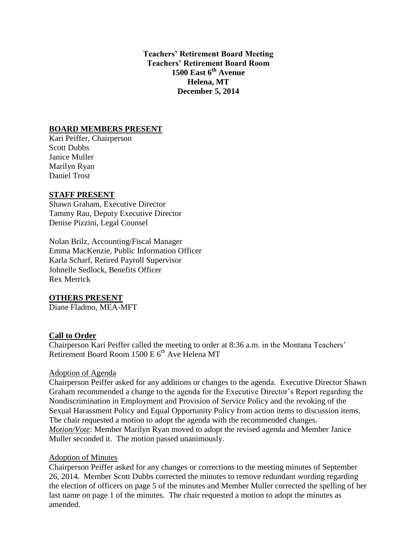**Teachers' Retirement Board Meeting Teachers' Retirement Board Room 1500 East 6th Avenue Helena, MT December 5, 2014**

### **BOARD MEMBERS PRESENT**

Kari Peiffer, Chairperson Scott Dubbs Janice Muller Marilyn Ryan Daniel Trost

#### **STAFF PRESENT**

Shawn Graham, Executive Director Tammy Rau, Deputy Executive Director Denise Pizzini, Legal Counsel

Nolan Brilz, Accounting/Fiscal Manager Emma MacKenzie, Public Information Officer Karla Scharf, Retired Payroll Supervisor Johnelle Sedlock, Benefits Officer Rex Merrick

### **OTHERS PRESENT**

Diane Fladmo, MEA-MFT

### **Call to Order**

Chairperson Kari Peiffer called the meeting to order at 8:36 a.m. in the Montana Teachers' Retirement Board Room  $1500 E 6<sup>th</sup>$  Ave Helena MT

#### Adoption of Agenda

Chairperson Peiffer asked for any additions or changes to the agenda. Executive Director Shawn Graham recommended a change to the agenda for the Executive Director's Report regarding the Nondiscrimination in Employment and Provision of Service Policy and the revoking of the Sexual Harassment Policy and Equal Opportunity Policy from action items to discussion items. The chair requested a motion to adopt the agenda with the recommended changes. *Motion/Vote*: Member Marilyn Ryan moved to adopt the revised agenda and Member Janice Muller seconded it. The motion passed unanimously.

#### Adoption of Minutes

Chairperson Peiffer asked for any changes or corrections to the meeting minutes of September 26, 2014. Member Scott Dubbs corrected the minutes to remove redundant wording regarding the election of officers on page 5 of the minutes and Member Muller corrected the spelling of her last name on page 1 of the minutes. The chair requested a motion to adopt the minutes as amended.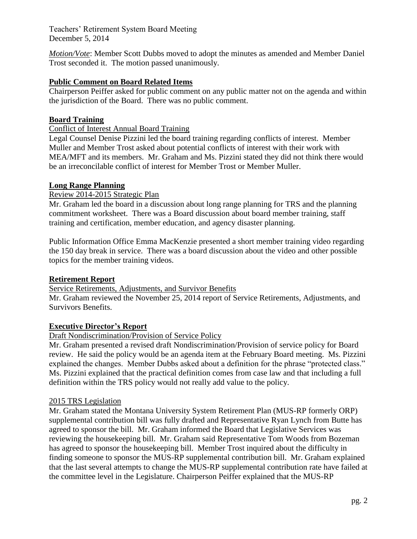*Motion/Vote*: Member Scott Dubbs moved to adopt the minutes as amended and Member Daniel Trost seconded it. The motion passed unanimously.

# **Public Comment on Board Related Items**

Chairperson Peiffer asked for public comment on any public matter not on the agenda and within the jurisdiction of the Board. There was no public comment.

### **Board Training**

Conflict of Interest Annual Board Training

Legal Counsel Denise Pizzini led the board training regarding conflicts of interest. Member Muller and Member Trost asked about potential conflicts of interest with their work with MEA/MFT and its members. Mr. Graham and Ms. Pizzini stated they did not think there would be an irreconcilable conflict of interest for Member Trost or Member Muller.

### **Long Range Planning**

### Review 2014-2015 Strategic Plan

Mr. Graham led the board in a discussion about long range planning for TRS and the planning commitment worksheet. There was a Board discussion about board member training, staff training and certification, member education, and agency disaster planning.

Public Information Office Emma MacKenzie presented a short member training video regarding the 150 day break in service. There was a board discussion about the video and other possible topics for the member training videos.

# **Retirement Report**

Service Retirements, Adjustments, and Survivor Benefits

Mr. Graham reviewed the November 25, 2014 report of Service Retirements, Adjustments, and Survivors Benefits.

### **Executive Director's Report**

### Draft Nondiscrimination/Provision of Service Policy

Mr. Graham presented a revised draft Nondiscrimination/Provision of service policy for Board review. He said the policy would be an agenda item at the February Board meeting. Ms. Pizzini explained the changes. Member Dubbs asked about a definition for the phrase "protected class." Ms. Pizzini explained that the practical definition comes from case law and that including a full definition within the TRS policy would not really add value to the policy.

### 2015 TRS Legislation

Mr. Graham stated the Montana University System Retirement Plan (MUS-RP formerly ORP) supplemental contribution bill was fully drafted and Representative Ryan Lynch from Butte has agreed to sponsor the bill. Mr. Graham informed the Board that Legislative Services was reviewing the housekeeping bill. Mr. Graham said Representative Tom Woods from Bozeman has agreed to sponsor the housekeeping bill. Member Trost inquired about the difficulty in finding someone to sponsor the MUS-RP supplemental contribution bill. Mr. Graham explained that the last several attempts to change the MUS-RP supplemental contribution rate have failed at the committee level in the Legislature. Chairperson Peiffer explained that the MUS-RP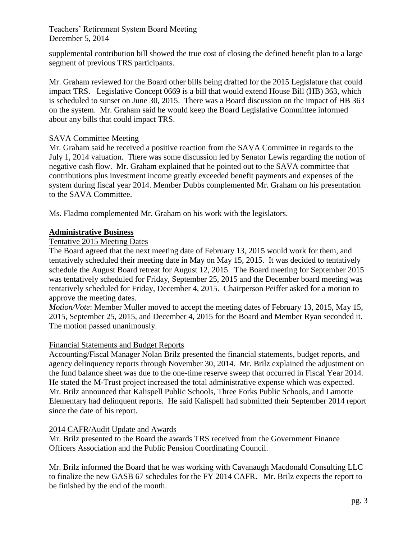supplemental contribution bill showed the true cost of closing the defined benefit plan to a large segment of previous TRS participants.

Mr. Graham reviewed for the Board other bills being drafted for the 2015 Legislature that could impact TRS. Legislative Concept 0669 is a bill that would extend House Bill (HB) 363, which is scheduled to sunset on June 30, 2015. There was a Board discussion on the impact of HB 363 on the system. Mr. Graham said he would keep the Board Legislative Committee informed about any bills that could impact TRS.

# SAVA Committee Meeting

Mr. Graham said he received a positive reaction from the SAVA Committee in regards to the July 1, 2014 valuation. There was some discussion led by Senator Lewis regarding the notion of negative cash flow. Mr. Graham explained that he pointed out to the SAVA committee that contributions plus investment income greatly exceeded benefit payments and expenses of the system during fiscal year 2014. Member Dubbs complemented Mr. Graham on his presentation to the SAVA Committee.

Ms. Fladmo complemented Mr. Graham on his work with the legislators.

# **Administrative Business**

# Tentative 2015 Meeting Dates

The Board agreed that the next meeting date of February 13, 2015 would work for them, and tentatively scheduled their meeting date in May on May 15, 2015. It was decided to tentatively schedule the August Board retreat for August 12, 2015. The Board meeting for September 2015 was tentatively scheduled for Friday, September 25, 2015 and the December board meeting was tentatively scheduled for Friday, December 4, 2015. Chairperson Peiffer asked for a motion to approve the meeting dates.

*Motion/Vote*: Member Muller moved to accept the meeting dates of February 13, 2015, May 15, 2015, September 25, 2015, and December 4, 2015 for the Board and Member Ryan seconded it. The motion passed unanimously.

# Financial Statements and Budget Reports

Accounting/Fiscal Manager Nolan Brilz presented the financial statements, budget reports, and agency delinquency reports through November 30, 2014. Mr. Brilz explained the adjustment on the fund balance sheet was due to the one-time reserve sweep that occurred in Fiscal Year 2014. He stated the M-Trust project increased the total administrative expense which was expected. Mr. Brilz announced that Kalispell Public Schools, Three Forks Public Schools, and Lamotte Elementary had delinquent reports. He said Kalispell had submitted their September 2014 report since the date of his report.

# 2014 CAFR/Audit Update and Awards

Mr. Brilz presented to the Board the awards TRS received from the Government Finance Officers Association and the Public Pension Coordinating Council.

Mr. Brilz informed the Board that he was working with Cavanaugh Macdonald Consulting LLC to finalize the new GASB 67 schedules for the FY 2014 CAFR. Mr. Brilz expects the report to be finished by the end of the month.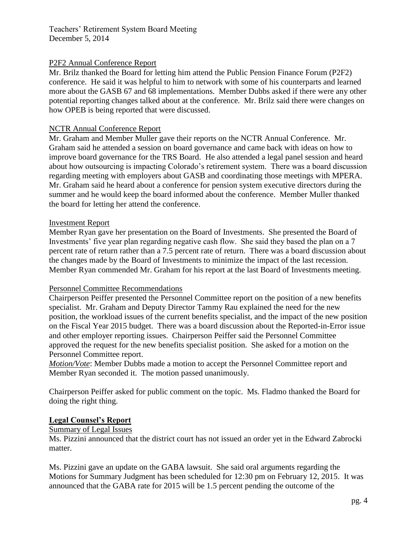### P2F2 Annual Conference Report

Mr. Brilz thanked the Board for letting him attend the Public Pension Finance Forum (P2F2) conference. He said it was helpful to him to network with some of his counterparts and learned more about the GASB 67 and 68 implementations. Member Dubbs asked if there were any other potential reporting changes talked about at the conference. Mr. Brilz said there were changes on how OPEB is being reported that were discussed.

### NCTR Annual Conference Report

Mr. Graham and Member Muller gave their reports on the NCTR Annual Conference. Mr. Graham said he attended a session on board governance and came back with ideas on how to improve board governance for the TRS Board. He also attended a legal panel session and heard about how outsourcing is impacting Colorado's retirement system. There was a board discussion regarding meeting with employers about GASB and coordinating those meetings with MPERA. Mr. Graham said he heard about a conference for pension system executive directors during the summer and he would keep the board informed about the conference. Member Muller thanked the board for letting her attend the conference.

### Investment Report

Member Ryan gave her presentation on the Board of Investments. She presented the Board of Investments' five year plan regarding negative cash flow. She said they based the plan on a 7 percent rate of return rather than a 7.5 percent rate of return. There was a board discussion about the changes made by the Board of Investments to minimize the impact of the last recession. Member Ryan commended Mr. Graham for his report at the last Board of Investments meeting.

### Personnel Committee Recommendations

Chairperson Peiffer presented the Personnel Committee report on the position of a new benefits specialist. Mr. Graham and Deputy Director Tammy Rau explained the need for the new position, the workload issues of the current benefits specialist, and the impact of the new position on the Fiscal Year 2015 budget. There was a board discussion about the Reported-in-Error issue and other employer reporting issues. Chairperson Peiffer said the Personnel Committee approved the request for the new benefits specialist position. She asked for a motion on the Personnel Committee report.

*Motion/Vote*: Member Dubbs made a motion to accept the Personnel Committee report and Member Ryan seconded it. The motion passed unanimously.

Chairperson Peiffer asked for public comment on the topic. Ms. Fladmo thanked the Board for doing the right thing.

### **Legal Counsel's Report**

### Summary of Legal Issues

Ms. Pizzini announced that the district court has not issued an order yet in the Edward Zabrocki matter.

Ms. Pizzini gave an update on the GABA lawsuit. She said oral arguments regarding the Motions for Summary Judgment has been scheduled for 12:30 pm on February 12, 2015. It was announced that the GABA rate for 2015 will be 1.5 percent pending the outcome of the